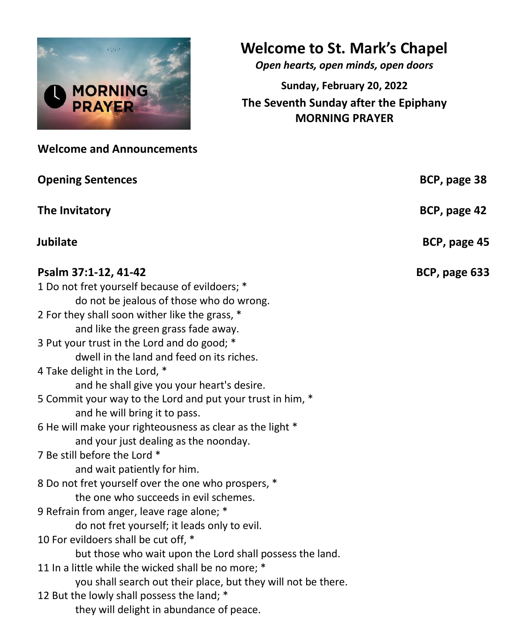

**Welcome and Announcements**

**Welcome to St. Mark's Chapel**

*Open hearts, open minds, open doors*

**Sunday, February 20, 2022 The Seventh Sunday after the Epiphany MORNING PRAYER**

| <b>Opening Sentences</b>                                                                                                                                                                                                                                                                                                                                                                                                                                                                                                                                                                                                                                                                                                                                                                                                                                                                                                                                                                                                                                                                                                                                                      | BCP, page 38  |
|-------------------------------------------------------------------------------------------------------------------------------------------------------------------------------------------------------------------------------------------------------------------------------------------------------------------------------------------------------------------------------------------------------------------------------------------------------------------------------------------------------------------------------------------------------------------------------------------------------------------------------------------------------------------------------------------------------------------------------------------------------------------------------------------------------------------------------------------------------------------------------------------------------------------------------------------------------------------------------------------------------------------------------------------------------------------------------------------------------------------------------------------------------------------------------|---------------|
| The Invitatory                                                                                                                                                                                                                                                                                                                                                                                                                                                                                                                                                                                                                                                                                                                                                                                                                                                                                                                                                                                                                                                                                                                                                                | BCP, page 42  |
| <b>Jubilate</b>                                                                                                                                                                                                                                                                                                                                                                                                                                                                                                                                                                                                                                                                                                                                                                                                                                                                                                                                                                                                                                                                                                                                                               | BCP, page 45  |
| Psalm 37:1-12, 41-42<br>1 Do not fret yourself because of evildoers; *<br>do not be jealous of those who do wrong.<br>2 For they shall soon wither like the grass, *<br>and like the green grass fade away.<br>3 Put your trust in the Lord and do good; *<br>dwell in the land and feed on its riches.<br>4 Take delight in the Lord, *<br>and he shall give you your heart's desire.<br>5 Commit your way to the Lord and put your trust in him, *<br>and he will bring it to pass.<br>6 He will make your righteousness as clear as the light *<br>and your just dealing as the noonday.<br>7 Be still before the Lord *<br>and wait patiently for him.<br>8 Do not fret yourself over the one who prospers, *<br>the one who succeeds in evil schemes.<br>9 Refrain from anger, leave rage alone; *<br>do not fret yourself; it leads only to evil.<br>10 For evildoers shall be cut off, *<br>but those who wait upon the Lord shall possess the land.<br>11 In a little while the wicked shall be no more; *<br>you shall search out their place, but they will not be there.<br>12 But the lowly shall possess the land; *<br>they will delight in abundance of peace. | BCP, page 633 |
|                                                                                                                                                                                                                                                                                                                                                                                                                                                                                                                                                                                                                                                                                                                                                                                                                                                                                                                                                                                                                                                                                                                                                                               |               |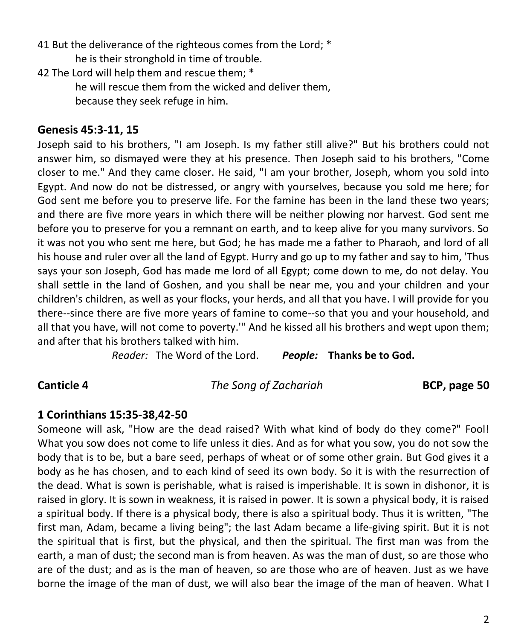41 But the deliverance of the righteous comes from the Lord; \* he is their stronghold in time of trouble.

42 The Lord will help them and rescue them; \*

he will rescue them from the wicked and deliver them, because they seek refuge in him.

# **Genesis 45:3-11, 15**

Joseph said to his brothers, "I am Joseph. Is my father still alive?" But his brothers could not answer him, so dismayed were they at his presence. Then Joseph said to his brothers, "Come closer to me." And they came closer. He said, "I am your brother, Joseph, whom you sold into Egypt. And now do not be distressed, or angry with yourselves, because you sold me here; for God sent me before you to preserve life. For the famine has been in the land these two years; and there are five more years in which there will be neither plowing nor harvest. God sent me before you to preserve for you a remnant on earth, and to keep alive for you many survivors. So it was not you who sent me here, but God; he has made me a father to Pharaoh, and lord of all his house and ruler over all the land of Egypt. Hurry and go up to my father and say to him, 'Thus says your son Joseph, God has made me lord of all Egypt; come down to me, do not delay. You shall settle in the land of Goshen, and you shall be near me, you and your children and your children's children, as well as your flocks, your herds, and all that you have. I will provide for you there--since there are five more years of famine to come--so that you and your household, and all that you have, will not come to poverty.'" And he kissed all his brothers and wept upon them; and after that his brothers talked with him.

*Reader:* The Word of the Lord. *People:* **Thanks be to God.** 

## **Canticle 4** *The Song of Zachariah* **BCP, page 50**

## **1 Corinthians 15:35-38,42-50**

Someone will ask, "How are the dead raised? With what kind of body do they come?" Fool! What you sow does not come to life unless it dies. And as for what you sow, you do not sow the body that is to be, but a bare seed, perhaps of wheat or of some other grain. But God gives it a body as he has chosen, and to each kind of seed its own body. So it is with the resurrection of the dead. What is sown is perishable, what is raised is imperishable. It is sown in dishonor, it is raised in glory. It is sown in weakness, it is raised in power. It is sown a physical body, it is raised a spiritual body. If there is a physical body, there is also a spiritual body. Thus it is written, "The first man, Adam, became a living being"; the last Adam became a life-giving spirit. But it is not the spiritual that is first, but the physical, and then the spiritual. The first man was from the earth, a man of dust; the second man is from heaven. As was the man of dust, so are those who are of the dust; and as is the man of heaven, so are those who are of heaven. Just as we have borne the image of the man of dust, we will also bear the image of the man of heaven. What I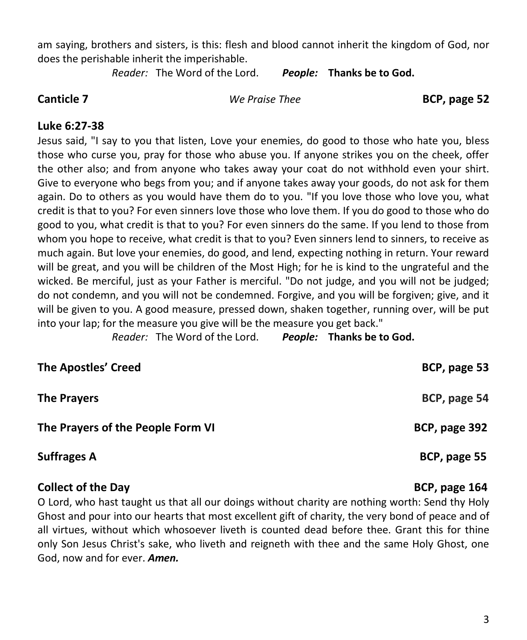am saying, brothers and sisters, is this: flesh and blood cannot inherit the kingdom of God, nor does the perishable inherit the imperishable.

*Reader:* The Word of the Lord. *People:* **Thanks be to God.**

**Canticle 7** *We Praise Thee* **BCP, page 52** 

# **Luke 6:27-38**

Jesus said, "I say to you that listen, Love your enemies, do good to those who hate you, bless those who curse you, pray for those who abuse you. If anyone strikes you on the cheek, offer the other also; and from anyone who takes away your coat do not withhold even your shirt. Give to everyone who begs from you; and if anyone takes away your goods, do not ask for them again. Do to others as you would have them do to you. "If you love those who love you, what credit is that to you? For even sinners love those who love them. If you do good to those who do good to you, what credit is that to you? For even sinners do the same. If you lend to those from whom you hope to receive, what credit is that to you? Even sinners lend to sinners, to receive as much again. But love your enemies, do good, and lend, expecting nothing in return. Your reward will be great, and you will be children of the Most High; for he is kind to the ungrateful and the wicked. Be merciful, just as your Father is merciful. "Do not judge, and you will not be judged; do not condemn, and you will not be condemned. Forgive, and you will be forgiven; give, and it will be given to you. A good measure, pressed down, shaken together, running over, will be put into your lap; for the measure you give will be the measure you get back."

*Reader:* The Word of the Lord. *People:* **Thanks be to God.** 

| The Apostles' Creed               | BCP, page 53  |
|-----------------------------------|---------------|
| <b>The Prayers</b>                | BCP, page 54  |
| The Prayers of the People Form VI | BCP, page 392 |
| <b>Suffrages A</b>                | BCP, page 55  |
|                                   |               |

# **Collect of the Day BCP, page 164**

O Lord, who hast taught us that all our doings without charity are nothing worth: Send thy Holy Ghost and pour into our hearts that most excellent gift of charity, the very bond of peace and of all virtues, without which whosoever liveth is counted dead before thee. Grant this for thine only Son Jesus Christ's sake, who liveth and reigneth with thee and the same Holy Ghost, one God, now and for ever. *Amen.*